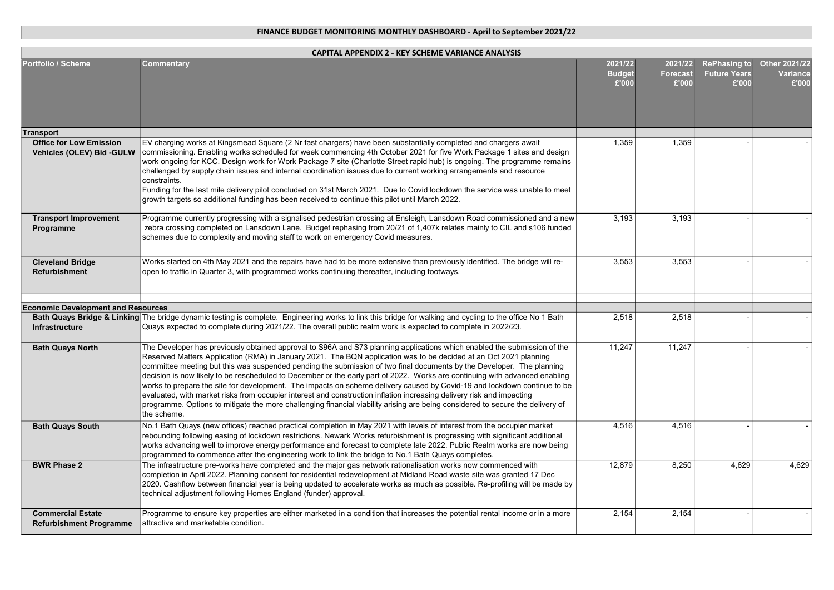| <b>CAPITAL APPENDIX 2 - KEY SCHEME VARIANCE ANALYSIS</b>    |                                                                                                                                                                                                                                                                                                                                                                                                                                                                                                                                                                                                                                                                                                                                                                                                                                                                                                             |                                   |                                     |                                                     |                                           |  |  |
|-------------------------------------------------------------|-------------------------------------------------------------------------------------------------------------------------------------------------------------------------------------------------------------------------------------------------------------------------------------------------------------------------------------------------------------------------------------------------------------------------------------------------------------------------------------------------------------------------------------------------------------------------------------------------------------------------------------------------------------------------------------------------------------------------------------------------------------------------------------------------------------------------------------------------------------------------------------------------------------|-----------------------------------|-------------------------------------|-----------------------------------------------------|-------------------------------------------|--|--|
| <b>Portfolio / Scheme</b>                                   | Commentary                                                                                                                                                                                                                                                                                                                                                                                                                                                                                                                                                                                                                                                                                                                                                                                                                                                                                                  | 2021/22<br><b>Budget</b><br>£'000 | 2021/22<br><b>Forecast</b><br>£'000 | <b>RePhasing to</b><br><b>Future Years</b><br>£'000 | Other 2021/22<br><b>Variance</b><br>£'000 |  |  |
| <b>Transport</b>                                            |                                                                                                                                                                                                                                                                                                                                                                                                                                                                                                                                                                                                                                                                                                                                                                                                                                                                                                             |                                   |                                     |                                                     |                                           |  |  |
| <b>Office for Low Emission</b><br>Vehicles (OLEV) Bid -GULW | EV charging works at Kingsmead Square (2 Nr fast chargers) have been substantially completed and chargers await<br>commissioning. Enabling works scheduled for week commencing 4th October 2021 for five Work Package 1 sites and design<br>work ongoing for KCC. Design work for Work Package 7 site (Charlotte Street rapid hub) is ongoing. The programme remains<br>challenged by supply chain issues and internal coordination issues due to current working arrangements and resource<br>constraints.<br>Funding for the last mile delivery pilot concluded on 31st March 2021. Due to Covid lockdown the service was unable to meet<br>growth targets so additional funding has been received to continue this pilot until March 2022.                                                                                                                                                               | 1,359                             | 1,359                               |                                                     |                                           |  |  |
| <b>Transport Improvement</b><br>Programme                   | Programme currently progressing with a signalised pedestrian crossing at Ensleigh, Lansdown Road commissioned and a new<br>zebra crossing completed on Lansdown Lane. Budget rephasing from 20/21 of 1,407k relates mainly to CIL and s106 funded<br>schemes due to complexity and moving staff to work on emergency Covid measures.                                                                                                                                                                                                                                                                                                                                                                                                                                                                                                                                                                        | 3,193                             | 3,193                               |                                                     |                                           |  |  |
| <b>Cleveland Bridge</b><br><b>Refurbishment</b>             | Works started on 4th May 2021 and the repairs have had to be more extensive than previously identified. The bridge will re-<br>open to traffic in Quarter 3, with programmed works continuing thereafter, including footways.                                                                                                                                                                                                                                                                                                                                                                                                                                                                                                                                                                                                                                                                               | 3,553                             | 3,553                               |                                                     |                                           |  |  |
| <b>Economic Development and Resources</b>                   |                                                                                                                                                                                                                                                                                                                                                                                                                                                                                                                                                                                                                                                                                                                                                                                                                                                                                                             |                                   |                                     |                                                     |                                           |  |  |
|                                                             | Bath Quays Bridge & Linking The bridge dynamic testing is complete. Engineering works to link this bridge for walking and cycling to the office No 1 Bath                                                                                                                                                                                                                                                                                                                                                                                                                                                                                                                                                                                                                                                                                                                                                   | 2,518                             | 2,518                               |                                                     |                                           |  |  |
| Infrastructure                                              | Quays expected to complete during 2021/22. The overall public realm work is expected to complete in 2022/23.                                                                                                                                                                                                                                                                                                                                                                                                                                                                                                                                                                                                                                                                                                                                                                                                |                                   |                                     |                                                     |                                           |  |  |
| <b>Bath Quays North</b>                                     | The Developer has previously obtained approval to S96A and S73 planning applications which enabled the submission of the<br>Reserved Matters Application (RMA) in January 2021. The BQN application was to be decided at an Oct 2021 planning<br>committee meeting but this was suspended pending the submission of two final documents by the Developer. The planning<br>decision is now likely to be rescheduled to December or the early part of 2022. Works are continuing with advanced enabling<br>works to prepare the site for development. The impacts on scheme delivery caused by Covid-19 and lockdown continue to be<br>evaluated, with market risks from occupier interest and construction inflation increasing delivery risk and impacting<br>programme. Options to mitigate the more challenging financial viability arising are being considered to secure the delivery of<br>the scheme. | 11,247                            | 11,247                              |                                                     |                                           |  |  |
| <b>Bath Quays South</b>                                     | No.1 Bath Quays (new offices) reached practical completion in May 2021 with levels of interest from the occupier market<br>rebounding following easing of lockdown restrictions. Newark Works refurbishment is progressing with significant additional<br>works advancing well to improve energy performance and forecast to complete late 2022. Public Realm works are now being<br>programmed to commence after the engineering work to link the bridge to No.1 Bath Quays completes.                                                                                                                                                                                                                                                                                                                                                                                                                     | 4,516                             | 4,516                               |                                                     |                                           |  |  |
| <b>BWR Phase 2</b>                                          | The infrastructure pre-works have completed and the major gas network rationalisation works now commenced with<br>completion in April 2022. Planning consent for residential redevelopment at Midland Road waste site was granted 17 Dec<br>2020. Cashflow between financial year is being updated to accelerate works as much as possible. Re-profiling will be made by<br>technical adjustment following Homes England (funder) approval.                                                                                                                                                                                                                                                                                                                                                                                                                                                                 | 12,879                            | 8,250                               | 4,629                                               | 4,629                                     |  |  |
| <b>Commercial Estate</b><br><b>Refurbishment Programme</b>  | Programme to ensure key properties are either marketed in a condition that increases the potential rental income or in a more<br>attractive and marketable condition.                                                                                                                                                                                                                                                                                                                                                                                                                                                                                                                                                                                                                                                                                                                                       | 2,154                             | 2,154                               |                                                     |                                           |  |  |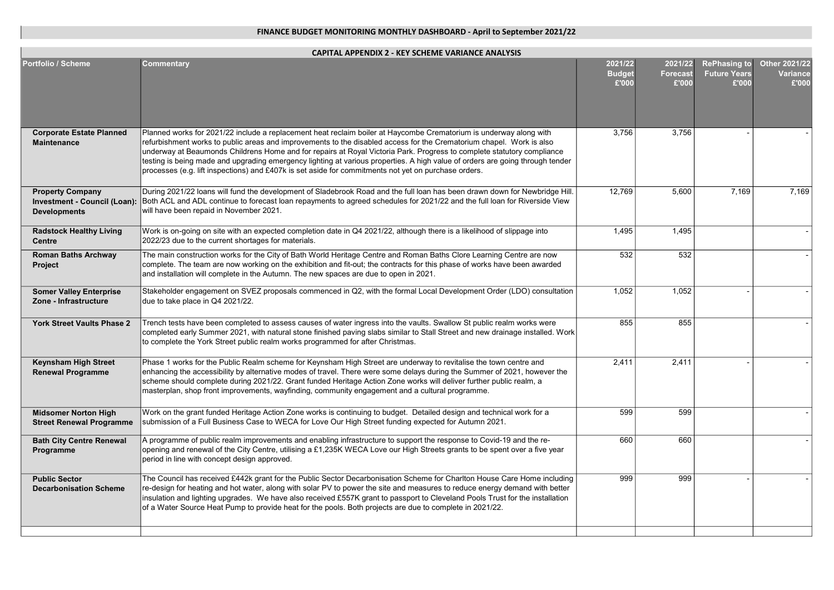| CAPITAL APPENDIX 2 - KEY SCHEME VARIANCE ANALYSIS                              |                                                                                                                                                                                                                                                                                                                                                                                                                                                                                                                                                                                                               |                                   |                                     |                                                     |                                           |  |  |
|--------------------------------------------------------------------------------|---------------------------------------------------------------------------------------------------------------------------------------------------------------------------------------------------------------------------------------------------------------------------------------------------------------------------------------------------------------------------------------------------------------------------------------------------------------------------------------------------------------------------------------------------------------------------------------------------------------|-----------------------------------|-------------------------------------|-----------------------------------------------------|-------------------------------------------|--|--|
| <b>Portfolio / Scheme</b>                                                      | Commentary                                                                                                                                                                                                                                                                                                                                                                                                                                                                                                                                                                                                    | 2021/22<br><b>Budget</b><br>£'000 | 2021/22<br><b>Forecast</b><br>£'000 | <b>RePhasing to</b><br><b>Future Years</b><br>£'000 | Other 2021/22<br><b>Variance</b><br>£'000 |  |  |
| <b>Corporate Estate Planned</b><br><b>Maintenance</b>                          | Planned works for 2021/22 include a replacement heat reclaim boiler at Haycombe Crematorium is underway along with<br>refurbishment works to public areas and improvements to the disabled access for the Crematorium chapel. Work is also<br>underway at Beaumonds Childrens Home and for repairs at Royal Victoria Park. Progress to complete statutory compliance<br>testing is being made and upgrading emergency lighting at various properties. A high value of orders are going through tender<br>processes (e.g. lift inspections) and £407k is set aside for commitments not yet on purchase orders. | 3.756                             | 3,756                               |                                                     |                                           |  |  |
| <b>Property Company</b><br>Investment - Council (Loan):<br><b>Developments</b> | During 2021/22 loans will fund the development of Sladebrook Road and the full loan has been drawn down for Newbridge Hill.<br>Both ACL and ADL continue to forecast loan repayments to agreed schedules for 2021/22 and the full loan for Riverside View<br>will have been repaid in November 2021.                                                                                                                                                                                                                                                                                                          | 12.769                            | 5,600                               | 7.169                                               | 7.169                                     |  |  |
| <b>Radstock Healthy Living</b><br>Centre                                       | Work is on-going on site with an expected completion date in Q4 2021/22, although there is a likelihood of slippage into<br>2022/23 due to the current shortages for materials.                                                                                                                                                                                                                                                                                                                                                                                                                               | 1,495                             | 1,495                               |                                                     |                                           |  |  |
| <b>Roman Baths Archway</b><br>Project                                          | The main construction works for the City of Bath World Heritage Centre and Roman Baths Clore Learning Centre are now<br>complete. The team are now working on the exhibition and fit-out; the contracts for this phase of works have been awarded<br>and installation will complete in the Autumn. The new spaces are due to open in 2021.                                                                                                                                                                                                                                                                    | 532                               | 532                                 |                                                     |                                           |  |  |
| <b>Somer Valley Enterprise</b><br>Zone - Infrastructure                        | Stakeholder engagement on SVEZ proposals commenced in Q2, with the formal Local Development Order (LDO) consultation<br>due to take place in Q4 2021/22.                                                                                                                                                                                                                                                                                                                                                                                                                                                      | 1,052                             | 1,052                               |                                                     |                                           |  |  |
| York Street Vaults Phase 2                                                     | Trench tests have been completed to assess causes of water ingress into the vaults. Swallow St public realm works were<br>completed early Summer 2021, with natural stone finished paving slabs similar to Stall Street and new drainage installed. Work<br>to complete the York Street public realm works programmed for after Christmas.                                                                                                                                                                                                                                                                    | 855                               | 855                                 |                                                     |                                           |  |  |
| <b>Keynsham High Street</b><br><b>Renewal Programme</b>                        | Phase 1 works for the Public Realm scheme for Keynsham High Street are underway to revitalise the town centre and<br>enhancing the accessibility by alternative modes of travel. There were some delays during the Summer of 2021, however the<br>scheme should complete during 2021/22. Grant funded Heritage Action Zone works will deliver further public realm, a<br>masterplan, shop front improvements, wayfinding, community engagement and a cultural programme.                                                                                                                                      | 2,411                             | 2,411                               |                                                     |                                           |  |  |
| <b>Midsomer Norton High</b><br><b>Street Renewal Programme</b>                 | Work on the grant funded Heritage Action Zone works is continuing to budget. Detailed design and technical work for a<br>submission of a Full Business Case to WECA for Love Our High Street funding expected for Autumn 2021.                                                                                                                                                                                                                                                                                                                                                                                | 599                               | 599                                 |                                                     |                                           |  |  |
| <b>Bath City Centre Renewal</b><br>Programme                                   | A programme of public realm improvements and enabling infrastructure to support the response to Covid-19 and the re-<br>opening and renewal of the City Centre, utilising a £1,235K WECA Love our High Streets grants to be spent over a five year<br>period in line with concept design approved.                                                                                                                                                                                                                                                                                                            | 660                               | 660                                 |                                                     |                                           |  |  |
| <b>Public Sector</b><br><b>Decarbonisation Scheme</b>                          | The Council has received £442k grant for the Public Sector Decarbonisation Scheme for Charlton House Care Home including<br>re-design for heating and hot water, along with solar PV to power the site and measures to reduce energy demand with better<br>insulation and lighting upgrades. We have also received £557K grant to passport to Cleveland Pools Trust for the installation<br>of a Water Source Heat Pump to provide heat for the pools. Both projects are due to complete in 2021/22.                                                                                                          | 999                               | 999                                 |                                                     |                                           |  |  |
|                                                                                |                                                                                                                                                                                                                                                                                                                                                                                                                                                                                                                                                                                                               |                                   |                                     |                                                     |                                           |  |  |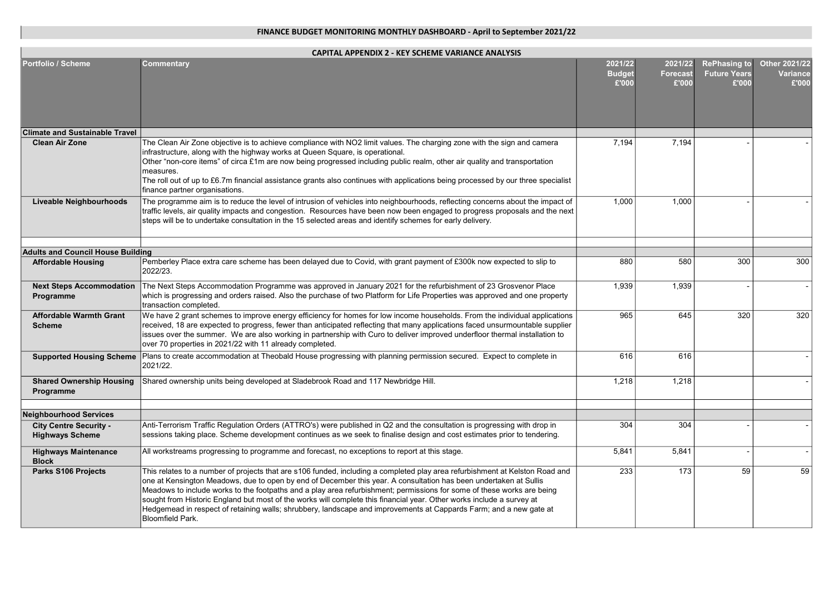| <b>CAPITAL APPENDIX 2 - KEY SCHEME VARIANCE ANALYSIS</b> |                                                                                                                                                                                                                                                                                                                                                                                                                                                                                                                                                                                                                                                |                                   |                                     |                                                     |                                           |  |  |
|----------------------------------------------------------|------------------------------------------------------------------------------------------------------------------------------------------------------------------------------------------------------------------------------------------------------------------------------------------------------------------------------------------------------------------------------------------------------------------------------------------------------------------------------------------------------------------------------------------------------------------------------------------------------------------------------------------------|-----------------------------------|-------------------------------------|-----------------------------------------------------|-------------------------------------------|--|--|
| <b>Portfolio / Scheme</b>                                | <b>Commentary</b>                                                                                                                                                                                                                                                                                                                                                                                                                                                                                                                                                                                                                              | 2021/22<br><b>Budget</b><br>£'000 | 2021/22<br><b>Forecast</b><br>£'000 | <b>RePhasing to</b><br><b>Future Years</b><br>£'000 | Other 2021/22<br><b>Variance</b><br>£'000 |  |  |
| <b>Climate and Sustainable Travel</b>                    |                                                                                                                                                                                                                                                                                                                                                                                                                                                                                                                                                                                                                                                |                                   |                                     |                                                     |                                           |  |  |
| <b>Clean Air Zone</b>                                    | The Clean Air Zone objective is to achieve compliance with NO2 limit values. The charging zone with the sign and camera<br>infrastructure, along with the highway works at Queen Square, is operational.<br>Other "non-core items" of circa £1m are now being progressed including public realm, other air quality and transportation<br>measures.<br>The roll out of up to £6.7m financial assistance grants also continues with applications being processed by our three specialist<br>finance partner organisations.                                                                                                                       | 7,194                             | 7,194                               |                                                     |                                           |  |  |
| <b>Liveable Neighbourhoods</b>                           | The programme aim is to reduce the level of intrusion of vehicles into neighbourhoods, reflecting concerns about the impact of<br>traffic levels, air quality impacts and congestion. Resources have been now been engaged to progress proposals and the next<br>steps will be to undertake consultation in the 15 selected areas and identify schemes for early delivery.                                                                                                                                                                                                                                                                     | 1,000                             | 1,000                               |                                                     |                                           |  |  |
| <b>Adults and Council House Building</b>                 |                                                                                                                                                                                                                                                                                                                                                                                                                                                                                                                                                                                                                                                |                                   |                                     |                                                     |                                           |  |  |
| <b>Affordable Housing</b>                                | Pemberley Place extra care scheme has been delayed due to Covid, with grant payment of £300k now expected to slip to<br>2022/23.                                                                                                                                                                                                                                                                                                                                                                                                                                                                                                               | 880                               | 580                                 | 300                                                 | 300                                       |  |  |
| <b>Next Steps Accommodation</b><br>Programme             | The Next Steps Accommodation Programme was approved in January 2021 for the refurbishment of 23 Grosvenor Place<br>which is progressing and orders raised. Also the purchase of two Platform for Life Properties was approved and one property<br>transaction completed.                                                                                                                                                                                                                                                                                                                                                                       | 1,939                             | 1,939                               |                                                     |                                           |  |  |
| <b>Affordable Warmth Grant</b><br><b>Scheme</b>          | We have 2 grant schemes to improve energy efficiency for homes for low income households. From the individual applications<br>received, 18 are expected to progress, fewer than anticipated reflecting that many applications faced unsurmountable supplier<br>issues over the summer. We are also working in partnership with Curo to deliver improved underfloor thermal installation to<br>over 70 properties in 2021/22 with 11 already completed.                                                                                                                                                                                         | 965                               | 645                                 | 320                                                 | 320                                       |  |  |
| <b>Supported Housing Scheme</b>                          | Plans to create accommodation at Theobald House progressing with planning permission secured. Expect to complete in<br>2021/22.                                                                                                                                                                                                                                                                                                                                                                                                                                                                                                                | 616                               | 616                                 |                                                     |                                           |  |  |
| <b>Shared Ownership Housing</b><br>Programme             | Shared ownership units being developed at Sladebrook Road and 117 Newbridge Hill.                                                                                                                                                                                                                                                                                                                                                                                                                                                                                                                                                              | 1,218                             | 1,218                               |                                                     |                                           |  |  |
| <b>Neighbourhood Services</b>                            |                                                                                                                                                                                                                                                                                                                                                                                                                                                                                                                                                                                                                                                |                                   |                                     |                                                     |                                           |  |  |
| <b>City Centre Security -</b>                            | Anti-Terrorism Traffic Regulation Orders (ATTRO's) were published in Q2 and the consultation is progressing with drop in                                                                                                                                                                                                                                                                                                                                                                                                                                                                                                                       | 304                               | 304                                 |                                                     |                                           |  |  |
| <b>Highways Scheme</b>                                   | sessions taking place. Scheme development continues as we seek to finalise design and cost estimates prior to tendering.                                                                                                                                                                                                                                                                                                                                                                                                                                                                                                                       |                                   |                                     |                                                     |                                           |  |  |
| <b>Highways Maintenance</b><br><b>Block</b>              | All workstreams progressing to programme and forecast, no exceptions to report at this stage.                                                                                                                                                                                                                                                                                                                                                                                                                                                                                                                                                  | 5,841                             | 5,841                               |                                                     |                                           |  |  |
| Parks S106 Projects                                      | This relates to a number of projects that are s106 funded, including a completed play area refurbishment at Kelston Road and<br>one at Kensington Meadows, due to open by end of December this year. A consultation has been undertaken at Sullis<br>Meadows to include works to the footpaths and a play area refurbishment; permissions for some of these works are being<br>sought from Historic England but most of the works will complete this financial year. Other works include a survey at<br>Hedgemead in respect of retaining walls; shrubbery, landscape and improvements at Cappards Farm; and a new gate at<br>Bloomfield Park. | 233                               | 173                                 | 59                                                  | 59                                        |  |  |